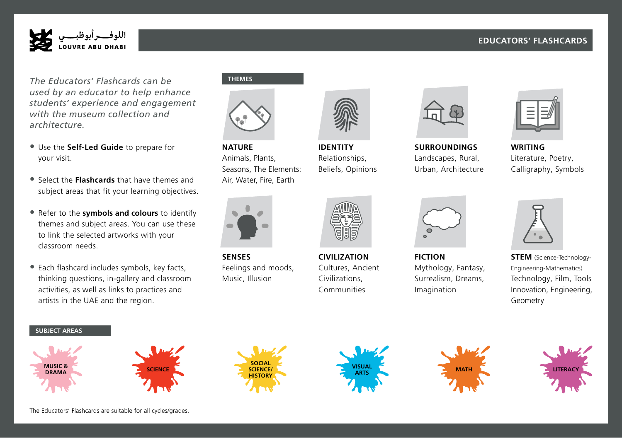# **EDUCATORS' FLASHCARDS**

Stem Identity Writing Nature



*The Educators' Flashcards can be used by an educator to help enhance students' experience and engagement with the museum collection and architecture.* 

- Use the **Self-Led Guide** to prepare for **NATURE** your visit.
- Select the **Flashcards** that have themes and Select the **Hashcards** that have themes and Tom, water, subject areas that fit your learning objectives.
- Refer to the **symbols and colours** to identify themes and subject areas. You can use these Surroundings Imagination Civilisation Senses to link the selected artworks with your classroom needs.
- Each flashcard includes symbols, key facts, thinking questions, in-gallery and classroom activities, as well as links to practices and artists in the UAE and the region.

### **THEMES**



**NATURE** Animals, Plants, Seasons, The Elements: Air, Water, Fire, Earth



**SENSES** Feelings and moods, Music, Illusion SENSES CIVILIZATION Surroundings Imagination Civilisation Senses



**IDENTITY** Relationships, Beliefs, Opinions



Cultures, Ancient Civilizations, Communities



Landscapes, Rural, Urban, Architecture

**FICTION**

Mythology, Fantasy, Surrealism, Dreams, Imagination



**IDENTITY SURROUNDINGS WRITING** IMAGINATION CONTRACT THE SURROUNDINGS WRITING **WRITING** Literature, Poetry, Calligraphy, Symbols



**N FICTION STEM** (Science-Technology-Engineering-Mathematics) Technology, Film, Tools Innovation, Engineering, Geometry

#### **SUBJECT AREAS**













Surroundings Imagination Civilisation Senses

The Educators' Flashcards are suitable for all cycles/grades.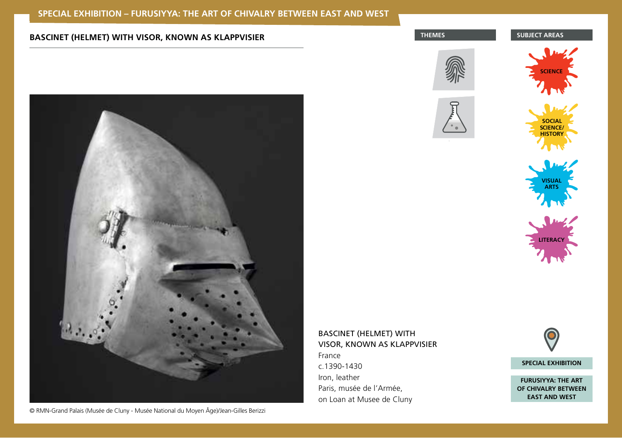# **THEMES BASCINET (HELMET) WITH VISOR, KNOWN AS KLAPPVISIER <b>BASCINET AREAS BUBJECT AREAS**



© RMN-Grand Palais (Musée de Cluny - Musée National du Moyen Âge)/Jean-Gilles Berizzi







Stem Identity Writing Nature Writing Nature 1999





# BASCINET (HELMET) WITH VISOR, KNOWN AS KLAPPVISIER France

c.1390-1430 Iron, leather Paris, musée de l'Armée, on Loan at Musee de Cluny



**FURUSIYYA: THE ART OF CHIVALRY BETWEEN EAST AND WEST**